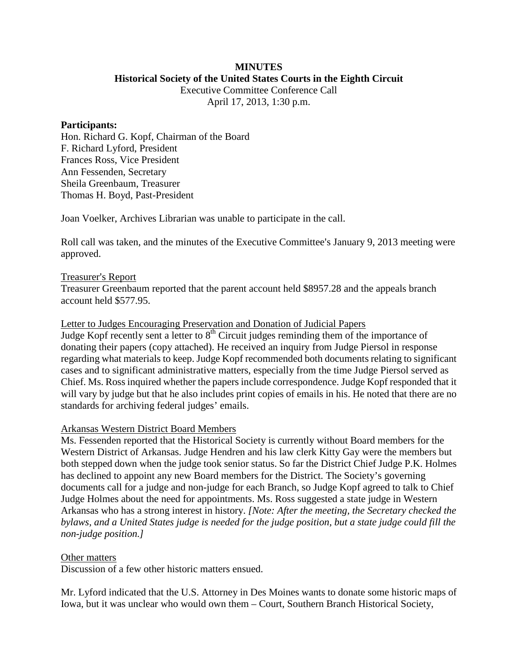## **MINUTES Historical Society of the United States Courts in the Eighth Circuit**

Executive Committee Conference Call April 17, 2013, 1:30 p.m.

### **Participants:**

Hon. Richard G. Kopf, Chairman of the Board F. Richard Lyford, President Frances Ross, Vice President Ann Fessenden, Secretary Sheila Greenbaum, Treasurer Thomas H. Boyd, Past-President

Joan Voelker, Archives Librarian was unable to participate in the call.

Roll call was taken, and the minutes of the Executive Committee's January 9, 2013 meeting were approved.

# Treasurer's Report

Treasurer Greenbaum reported that the parent account held \$8957.28 and the appeals branch account held \$577.95.

## Letter to Judges Encouraging Preservation and Donation of Judicial Papers

Judge Kopf recently sent a letter to  $8<sup>th</sup>$  Circuit judges reminding them of the importance of donating their papers (copy attached). He received an inquiry from Judge Piersol in response regarding what materials to keep. Judge Kopf recommended both documents relating to significant cases and to significant administrative matters, especially from the time Judge Piersol served as Chief. Ms. Ross inquired whether the papers include correspondence. Judge Kopf responded that it will vary by judge but that he also includes print copies of emails in his. He noted that there are no standards for archiving federal judges' emails.

# Arkansas Western District Board Members

Ms. Fessenden reported that the Historical Society is currently without Board members for the Western District of Arkansas. Judge Hendren and his law clerk Kitty Gay were the members but both stepped down when the judge took senior status. So far the District Chief Judge P.K. Holmes has declined to appoint any new Board members for the District. The Society's governing documents call for a judge and non-judge for each Branch, so Judge Kopf agreed to talk to Chief Judge Holmes about the need for appointments. Ms. Ross suggested a state judge in Western Arkansas who has a strong interest in history. *[Note: After the meeting, the Secretary checked the bylaws, and a United States judge is needed for the judge position, but a state judge could fill the non-judge position.]*

# Other matters

Discussion of a few other historic matters ensued.

Mr. Lyford indicated that the U.S. Attorney in Des Moines wants to donate some historic maps of Iowa, but it was unclear who would own them – Court, Southern Branch Historical Society,